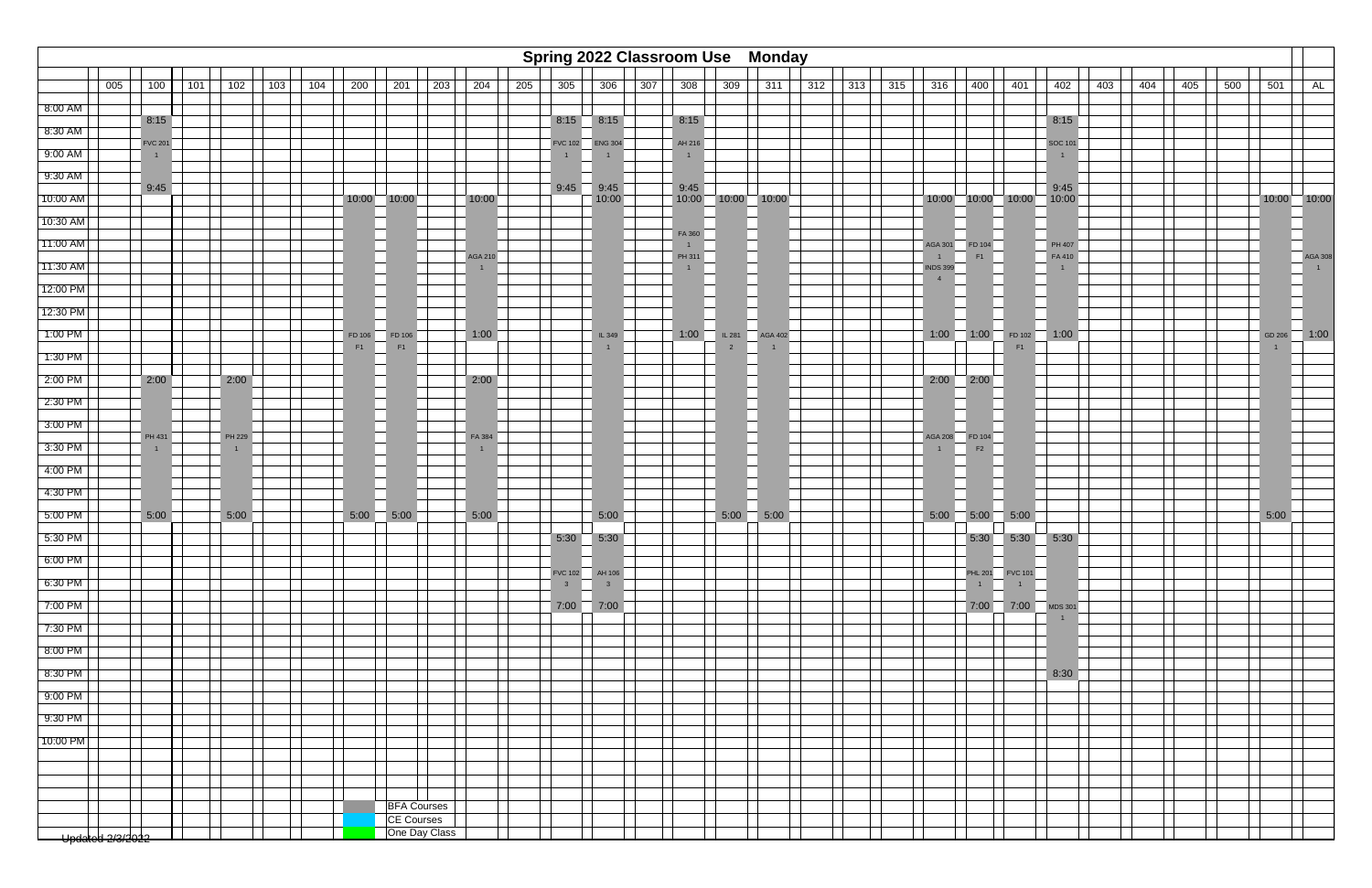

|           |                                |                |     |                        |     |     |        |                                  |     |                        |     |                                  |                      |     | <b>Spring 2022 Classroom Use Monday</b> |                         |                |     |     |     |                                   |                                         |                                   |                                  |     |     |     |     |                 |                           |
|-----------|--------------------------------|----------------|-----|------------------------|-----|-----|--------|----------------------------------|-----|------------------------|-----|----------------------------------|----------------------|-----|-----------------------------------------|-------------------------|----------------|-----|-----|-----|-----------------------------------|-----------------------------------------|-----------------------------------|----------------------------------|-----|-----|-----|-----|-----------------|---------------------------|
|           | 005                            | 100            | 101 | 102                    | 103 | 104 | 200    | 201                              | 203 | 204                    | 205 | 305                              | 306                  | 307 | 308                                     | 309                     | 311            | 312 | 313 | 315 | 316                               | 400                                     | $\sqrt{401}$                      | 402                              | 403 | 404 | 405 | 500 | 501             | AL                        |
| 8:00 AM   |                                |                |     |                        |     |     |        |                                  |     |                        |     |                                  |                      |     |                                         |                         |                |     |     |     |                                   |                                         |                                   |                                  |     |     |     |     |                 |                           |
| 8:30 AM   |                                | 8:15           |     |                        |     |     |        |                                  |     |                        |     |                                  | 8:15 8:15            |     | 8:15                                    |                         |                |     |     |     |                                   |                                         |                                   | 8:15                             |     |     |     |     |                 |                           |
| 9:00 AM   |                                | <b>FVC 201</b> |     |                        |     |     |        |                                  |     |                        |     | <b>FVC 102</b>                   | <b>ENG 304</b>       |     | AH 216<br>1                             |                         |                |     |     |     |                                   |                                         |                                   | <b>SOC 101</b><br>$\overline{1}$ |     |     |     |     |                 |                           |
| 9:30 AM   |                                |                |     |                        |     |     |        |                                  |     |                        |     |                                  |                      |     |                                         |                         |                |     |     |     |                                   |                                         |                                   |                                  |     |     |     |     |                 |                           |
| 10:00 AM  |                                | 9:45           |     |                        |     |     |        | 10:00 10:00                      |     | 10:00                  |     |                                  | $9:45$ 9:45<br>10:00 |     | 9:45                                    | $10:00$ $10:00$ $10:00$ |                |     |     |     |                                   | $10:00$ $10:00$ $10:00$ $10:00$ $10:00$ |                                   | 9:45                             |     |     |     |     | $10:00$ $10:00$ |                           |
| 10:30 AM  |                                |                |     |                        |     |     |        |                                  |     |                        |     |                                  |                      |     |                                         |                         |                |     |     |     |                                   |                                         |                                   |                                  |     |     |     |     |                 |                           |
| 11:00 AM  |                                |                |     |                        |     |     |        |                                  |     |                        |     |                                  |                      |     | FA 360                                  |                         |                |     |     |     | <b>AGA 301</b>                    | FD 104                                  |                                   | PH 407                           |     |     |     |     |                 |                           |
| 11:30 AM  |                                |                |     |                        |     |     |        |                                  |     | <b>AGA 210</b>         |     |                                  |                      |     | PH 311<br>1                             |                         |                |     |     |     | $\overline{1}$<br><b>INDS 399</b> | F1                                      |                                   | FA 410                           |     |     |     |     |                 | AGA 308<br>$\overline{1}$ |
| 12:00 PM  |                                |                |     |                        |     |     |        |                                  |     |                        |     |                                  |                      |     |                                         |                         |                |     |     |     | $\overline{4}$                    |                                         |                                   |                                  |     |     |     |     |                 |                           |
| 12:30 PM  |                                |                |     |                        |     |     |        |                                  |     |                        |     |                                  |                      |     |                                         |                         |                |     |     |     |                                   |                                         |                                   |                                  |     |     |     |     |                 |                           |
| 1:00 PM   |                                |                |     |                        |     |     | FD 106 | FD 106                           |     | 1:00                   |     |                                  | IL 349               |     | 1:00                                    | <b>IL 281</b>           | <b>AGA 402</b> |     |     |     |                                   | $1:00$ 1:00                             | FD 102                            | $\overline{1:00}$                |     |     |     |     | GD 206          | 1:00                      |
| 1:30 PM   |                                |                |     |                        |     |     | F1     | F1                               |     |                        |     |                                  |                      |     |                                         |                         |                |     |     |     |                                   |                                         | F <sub>1</sub>                    |                                  |     |     |     |     |                 |                           |
| $2:00$ PM |                                | 2:00           |     | 2:00                   |     |     |        |                                  |     | 2:00                   |     |                                  |                      |     |                                         |                         |                |     |     |     |                                   | $2:00$ $2:00$                           |                                   |                                  |     |     |     |     |                 |                           |
| $2:30$ PM |                                |                |     |                        |     |     |        |                                  |     |                        |     |                                  |                      |     |                                         |                         |                |     |     |     |                                   |                                         |                                   |                                  |     |     |     |     |                 |                           |
| 3:00 PM   |                                |                |     |                        |     |     |        |                                  |     |                        |     |                                  |                      |     |                                         |                         |                |     |     |     |                                   |                                         |                                   |                                  |     |     |     |     |                 |                           |
| $3:30$ PM |                                | PH 431         |     | PH 229<br>$\mathbf{1}$ |     |     |        |                                  |     | FA 384<br>$\mathbf{1}$ |     |                                  |                      |     |                                         |                         |                |     |     |     | $\overline{1}$                    | AGA 208 FD 104<br>F2                    |                                   |                                  |     |     |     |     |                 |                           |
| $4:00$ PM |                                |                |     |                        |     |     |        |                                  |     |                        |     |                                  |                      |     |                                         |                         |                |     |     |     |                                   |                                         |                                   |                                  |     |     |     |     |                 |                           |
| 4:30 PM   |                                |                |     |                        |     |     |        |                                  |     |                        |     |                                  |                      |     |                                         |                         |                |     |     |     |                                   |                                         |                                   |                                  |     |     |     |     |                 |                           |
| 5:00 PM   |                                | 5:00           |     | 5:00                   |     |     | 5:00   | $\overline{)}$ 5:00              |     | 5:00                   |     |                                  | 5:00                 |     |                                         | 5:00                    | $-5:00$        |     |     |     |                                   | $5:00$ 5:00 5:00                        |                                   |                                  |     |     |     |     | 5:00            |                           |
| 5:30 PM   |                                |                |     |                        |     |     |        |                                  |     |                        |     |                                  | $5:30$ $5:30$        |     |                                         |                         |                |     |     |     |                                   |                                         | 5:30 5:30 5:30                    |                                  |     |     |     |     |                 |                           |
| 6:00 PM   |                                |                |     |                        |     |     |        |                                  |     |                        |     |                                  |                      |     |                                         |                         |                |     |     |     |                                   |                                         |                                   |                                  |     |     |     |     |                 |                           |
| $6:30$ PM |                                |                |     |                        |     |     |        |                                  |     |                        |     | FVC 102 AH 106<br>3 <sup>7</sup> | $\overline{3}$       |     |                                         |                         |                |     |     |     |                                   | 1                                       | PHL 201 FVC 101<br>$\overline{1}$ |                                  |     |     |     |     |                 |                           |
| $7:00$ PM |                                |                |     |                        |     |     |        |                                  |     |                        |     |                                  | $7:00$ 7:00          |     |                                         |                         |                |     |     |     |                                   |                                         | $7:00$ 7:00 MDS 301               |                                  |     |     |     |     |                 |                           |
| 7:30 PM   |                                |                |     |                        |     |     |        |                                  |     |                        |     |                                  |                      |     |                                         |                         |                |     |     |     |                                   |                                         |                                   | $\overline{1}$                   |     |     |     |     |                 |                           |
| 8:00 PM   |                                |                |     |                        |     |     |        |                                  |     |                        |     |                                  |                      |     |                                         |                         |                |     |     |     |                                   |                                         |                                   |                                  |     |     |     |     |                 |                           |
| 8:30 PM   |                                |                |     |                        |     |     |        |                                  |     |                        |     |                                  |                      |     |                                         |                         |                |     |     |     |                                   |                                         |                                   | 8:30                             |     |     |     |     |                 |                           |
| $9:00$ PM |                                |                |     |                        |     |     |        |                                  |     |                        |     |                                  |                      |     |                                         |                         |                |     |     |     |                                   |                                         |                                   |                                  |     |     |     |     |                 |                           |
| $9:30$ PM |                                |                |     |                        |     |     |        |                                  |     |                        |     |                                  |                      |     |                                         |                         |                |     |     |     |                                   |                                         |                                   |                                  |     |     |     |     |                 |                           |
| 10:00 PM  |                                |                |     |                        |     |     |        |                                  |     |                        |     |                                  |                      |     |                                         |                         |                |     |     |     |                                   |                                         |                                   |                                  |     |     |     |     |                 |                           |
|           |                                |                |     |                        |     |     |        |                                  |     |                        |     |                                  |                      |     |                                         |                         |                |     |     |     |                                   |                                         |                                   |                                  |     |     |     |     |                 |                           |
|           |                                |                |     |                        |     |     |        |                                  |     |                        |     |                                  |                      |     |                                         |                         |                |     |     |     |                                   |                                         |                                   |                                  |     |     |     |     |                 |                           |
|           |                                |                |     |                        |     |     |        |                                  |     |                        |     |                                  |                      |     |                                         |                         |                |     |     |     |                                   |                                         |                                   |                                  |     |     |     |     |                 |                           |
|           |                                |                |     |                        |     |     |        | <b>BFA Courses</b><br>CE Courses |     |                        |     |                                  |                      |     |                                         |                         |                |     |     |     |                                   |                                         |                                   |                                  |     |     |     |     |                 |                           |
|           | <del>- Updalted 2/3/2022</del> |                |     |                        |     |     |        | One Day Class                    |     |                        |     |                                  |                      |     |                                         |                         |                |     |     |     |                                   |                                         |                                   |                                  |     |     |     |     |                 |                           |
|           |                                |                |     |                        |     |     |        |                                  |     |                        |     |                                  |                      |     |                                         |                         |                |     |     |     |                                   |                                         |                                   |                                  |     |     |     |     |                 |                           |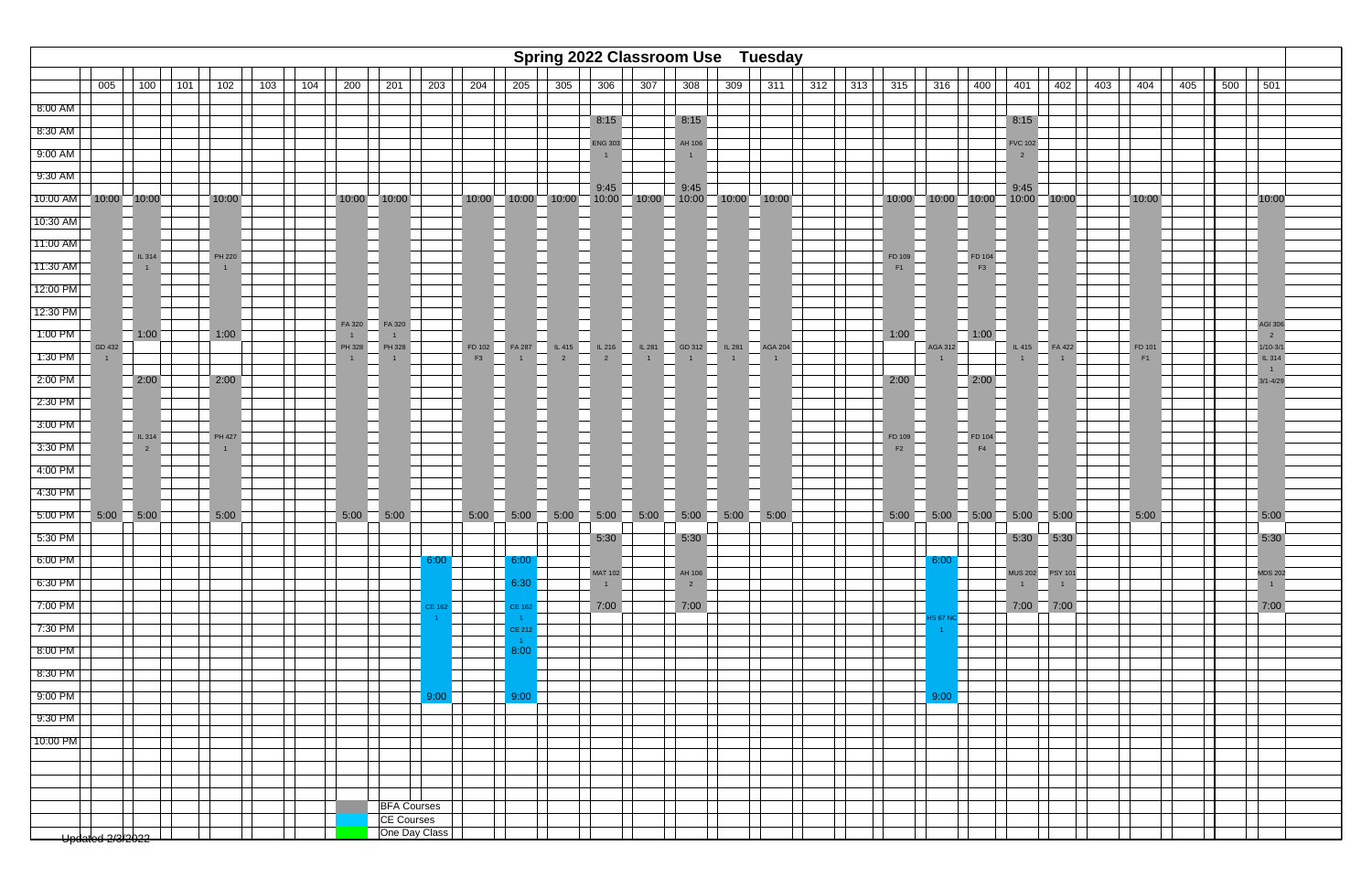

|            |                  |                          |     |                                 |     |     |                        |                    |               |              |                                       |                   |                                        | <b>Spring 2022 Classroom Use Tuesday</b> |                          |                          |      |     |     |              |                         |                          |                                  |                 |     |              |     |     |                                     |
|------------|------------------|--------------------------|-----|---------------------------------|-----|-----|------------------------|--------------------|---------------|--------------|---------------------------------------|-------------------|----------------------------------------|------------------------------------------|--------------------------|--------------------------|------|-----|-----|--------------|-------------------------|--------------------------|----------------------------------|-----------------|-----|--------------|-----|-----|-------------------------------------|
|            | 005              | 100                      | 101 | 102                             | 103 | 104 | 200                    | 201                | 203           | 204          | 205                                   | 305               | 306                                    | 307                                      | 308                      | 309                      | 311  | 312 | 313 | 315          | 316                     | 400                      | 401                              | 402             | 403 | 404          | 405 | 500 | 501                                 |
| 8:00 AM    |                  |                          |     |                                 |     |     |                        |                    |               |              |                                       |                   |                                        |                                          |                          |                          |      |     |     |              |                         |                          |                                  |                 |     |              |     |     |                                     |
| 8:30 AM    |                  |                          |     |                                 |     |     |                        |                    |               |              |                                       |                   | 8:15                                   |                                          | 8:15                     |                          |      |     |     |              |                         |                          | 8:15                             |                 |     |              |     |     |                                     |
| $9:00$ AM  |                  |                          |     |                                 |     |     |                        |                    |               |              |                                       |                   | <b>ENG 303</b>                         |                                          | AH 106                   |                          |      |     |     |              |                         |                          | <b>FVC 102</b><br>$\overline{2}$ |                 |     |              |     |     |                                     |
| $9:30$ AM  |                  |                          |     |                                 |     |     |                        |                    |               |              |                                       |                   |                                        |                                          |                          |                          |      |     |     |              |                         |                          |                                  |                 |     |              |     |     |                                     |
| $10:00$ AM | 10:00 10:00      |                          |     | 10:00                           |     |     |                        | $10:00$ 10:00      |               |              | $10:00$ 10:00 10:00 10:00 10:00 10:00 |                   | 9:45                                   |                                          | 9:45                     | $-10:00 - 10:00 - 10:00$ |      |     |     |              | $10:00$ $10:00$ $10:00$ |                          | 9:45                             | $10:00$ $10:00$ |     | 10:00        |     |     | 10:00                               |
| 10:30 AM   |                  |                          |     |                                 |     |     |                        |                    |               |              |                                       |                   |                                        |                                          |                          |                          |      |     |     |              |                         |                          |                                  |                 |     |              |     |     |                                     |
| 11:00 AM   |                  |                          |     |                                 |     |     |                        |                    |               |              |                                       |                   |                                        |                                          |                          |                          |      |     |     |              |                         |                          |                                  |                 |     |              |     |     |                                     |
| 11:30 AM   |                  | IL 314<br>$\mathbf{1}$   |     | <b>PH 220</b><br>$\overline{1}$ |     |     |                        |                    |               |              |                                       |                   |                                        |                                          |                          |                          |      |     |     | FD 109<br>F1 |                         | FD 104<br>F3             |                                  |                 |     |              |     |     |                                     |
| 12:00 PM   |                  |                          |     |                                 |     |     |                        |                    |               |              |                                       |                   |                                        |                                          |                          |                          |      |     |     |              |                         |                          |                                  |                 |     |              |     |     |                                     |
| 12:30 PM   |                  |                          |     |                                 |     |     |                        |                    |               |              |                                       |                   |                                        |                                          |                          |                          |      |     |     |              |                         |                          |                                  |                 |     |              |     |     |                                     |
| 1:00 PM    |                  | 1:00                     |     | 1:00                            |     |     | FA 320<br>$\mathbf{1}$ | FA 320             |               |              |                                       |                   |                                        |                                          |                          |                          |      |     |     | 1:00         |                         | 1:00                     |                                  |                 |     |              |     |     | AGI 306<br>$2^{\circ}$              |
| 1:30 PM    | GD 432           |                          |     |                                 |     |     | PH 328<br>$\mathbf{1}$ | PH 328             |               | FD 102<br>F3 | FA 287<br>$\overline{1}$              | $\overline{2}$    | $\overline{L}$ 415 $\overline{L}$ 1216 | IL281<br>1                               | GD 312                   | IL 281 AGA 204           |      |     |     |              | AGA 312                 |                          | IL 415                           | FA 422          |     | FD 101<br>F1 |     |     | $1/10-3/1$<br>$\overline{L}$ IL 314 |
| $2:00$ PM  |                  | 2:00                     |     | 2:00                            |     |     |                        |                    |               |              |                                       |                   |                                        |                                          |                          |                          |      |     |     | 2:00         |                         | 2:00                     |                                  |                 |     |              |     |     | 1<br>3/1-4/29                       |
| 2:30 PM    |                  |                          |     |                                 |     |     |                        |                    |               |              |                                       |                   |                                        |                                          |                          |                          |      |     |     |              |                         |                          |                                  |                 |     |              |     |     |                                     |
| 3:00 PM    |                  |                          |     |                                 |     |     |                        |                    |               |              |                                       |                   |                                        |                                          |                          |                          |      |     |     |              |                         |                          |                                  |                 |     |              |     |     |                                     |
| 3:30 PM    |                  | IL 314<br>$\overline{2}$ |     | PH 427<br>$\overline{1}$        |     |     |                        |                    |               |              |                                       |                   |                                        |                                          |                          |                          |      |     |     | FD 109<br>F2 |                         | FD 104<br>F <sub>4</sub> |                                  |                 |     |              |     |     |                                     |
| $4:00$ PM  |                  |                          |     |                                 |     |     |                        |                    |               |              |                                       |                   |                                        |                                          |                          |                          |      |     |     |              |                         |                          |                                  |                 |     |              |     |     |                                     |
| 4:30 PM    |                  |                          |     |                                 |     |     |                        |                    |               |              |                                       |                   |                                        |                                          |                          |                          |      |     |     |              |                         |                          |                                  |                 |     |              |     |     |                                     |
| $5:00$ PM  | $5:00$ 5:00      |                          |     | 5:00                            |     |     | 5:00                   | $\overline{5:00}$  |               | 5:00         | 5:00                                  | $\overline{5:00}$ | 5:00                                   | 5:00                                     | 5:00                     | 5:00                     | 5:00 |     |     | 5:00         | 5:00                    | 5:00                     | 5:00                             | $-5:00$         |     | 5:00         |     |     | 5:00                                |
| $5:30$ PM  |                  |                          |     |                                 |     |     |                        |                    |               |              |                                       |                   | 5:30                                   |                                          | 5:30                     |                          |      |     |     |              |                         |                          | 5:30                             | 5:30            |     |              |     |     | 5:30                                |
| 6:00 PM    |                  |                          |     |                                 |     |     |                        |                    | 6:00          |              | 6:00                                  |                   |                                        |                                          |                          |                          |      |     |     |              | 6:00                    |                          |                                  |                 |     |              |     |     |                                     |
| $6:30$ PM  |                  |                          |     |                                 |     |     |                        |                    |               |              | 6:30                                  |                   | <b>MAT 102</b><br>$\overline{1}$       |                                          | AH 106<br>$\overline{2}$ |                          |      |     |     |              |                         |                          | $1 -$                            | 1               |     |              |     |     | <b>MDS 202</b><br>1                 |
| 7:00 PM    |                  |                          |     |                                 |     |     |                        |                    | CE 162        |              | CE 162                                |                   | 7:00                                   |                                          | 7:00                     |                          |      |     |     |              |                         |                          |                                  | $7:00$ 7:00     |     |              |     |     | 7:00                                |
| $7:30$ PM  |                  |                          |     |                                 |     |     |                        |                    |               |              | $-1$<br><b>CE 212</b>                 |                   |                                        |                                          |                          |                          |      |     |     |              | <b>IS 67 NC</b>         |                          |                                  |                 |     |              |     |     |                                     |
| 8:00 PM    |                  |                          |     |                                 |     |     |                        |                    |               |              | 8:00                                  |                   |                                        |                                          |                          |                          |      |     |     |              |                         |                          |                                  |                 |     |              |     |     |                                     |
| 8:30 PM    |                  |                          |     |                                 |     |     |                        |                    |               |              |                                       |                   |                                        |                                          |                          |                          |      |     |     |              |                         |                          |                                  |                 |     |              |     |     |                                     |
| $9:00$ PM  |                  |                          |     |                                 |     |     |                        |                    | 9:00          |              | 9:00<br><b>Contract</b>               |                   |                                        |                                          |                          |                          |      |     |     |              | 9:00                    |                          |                                  |                 |     |              |     |     |                                     |
| 9:30 PM    |                  |                          |     |                                 |     |     |                        |                    |               |              |                                       |                   |                                        |                                          |                          |                          |      |     |     |              |                         |                          |                                  |                 |     |              |     |     |                                     |
| 10:00 PM   |                  |                          |     |                                 |     |     |                        |                    |               |              |                                       |                   |                                        |                                          |                          |                          |      |     |     |              |                         |                          |                                  |                 |     |              |     |     |                                     |
|            |                  |                          |     |                                 |     |     |                        |                    |               |              |                                       |                   |                                        |                                          |                          |                          |      |     |     |              |                         |                          |                                  |                 |     |              |     |     |                                     |
|            |                  |                          |     |                                 |     |     |                        |                    |               |              |                                       |                   |                                        |                                          |                          |                          |      |     |     |              |                         |                          |                                  |                 |     |              |     |     |                                     |
|            |                  |                          |     |                                 |     |     |                        | <b>BFA Courses</b> |               |              |                                       |                   |                                        |                                          |                          |                          |      |     |     |              |                         |                          |                                  |                 |     |              |     |     |                                     |
|            |                  |                          |     |                                 |     |     |                        | <b>CE Courses</b>  |               |              |                                       |                   |                                        |                                          |                          |                          |      |     |     |              |                         |                          |                                  |                 |     |              |     |     |                                     |
|            | Updated 2/3/2022 |                          |     |                                 |     |     |                        |                    | One Day Class |              |                                       |                   |                                        |                                          |                          |                          |      |     |     |              |                         |                          |                                  |                 |     |              |     |     |                                     |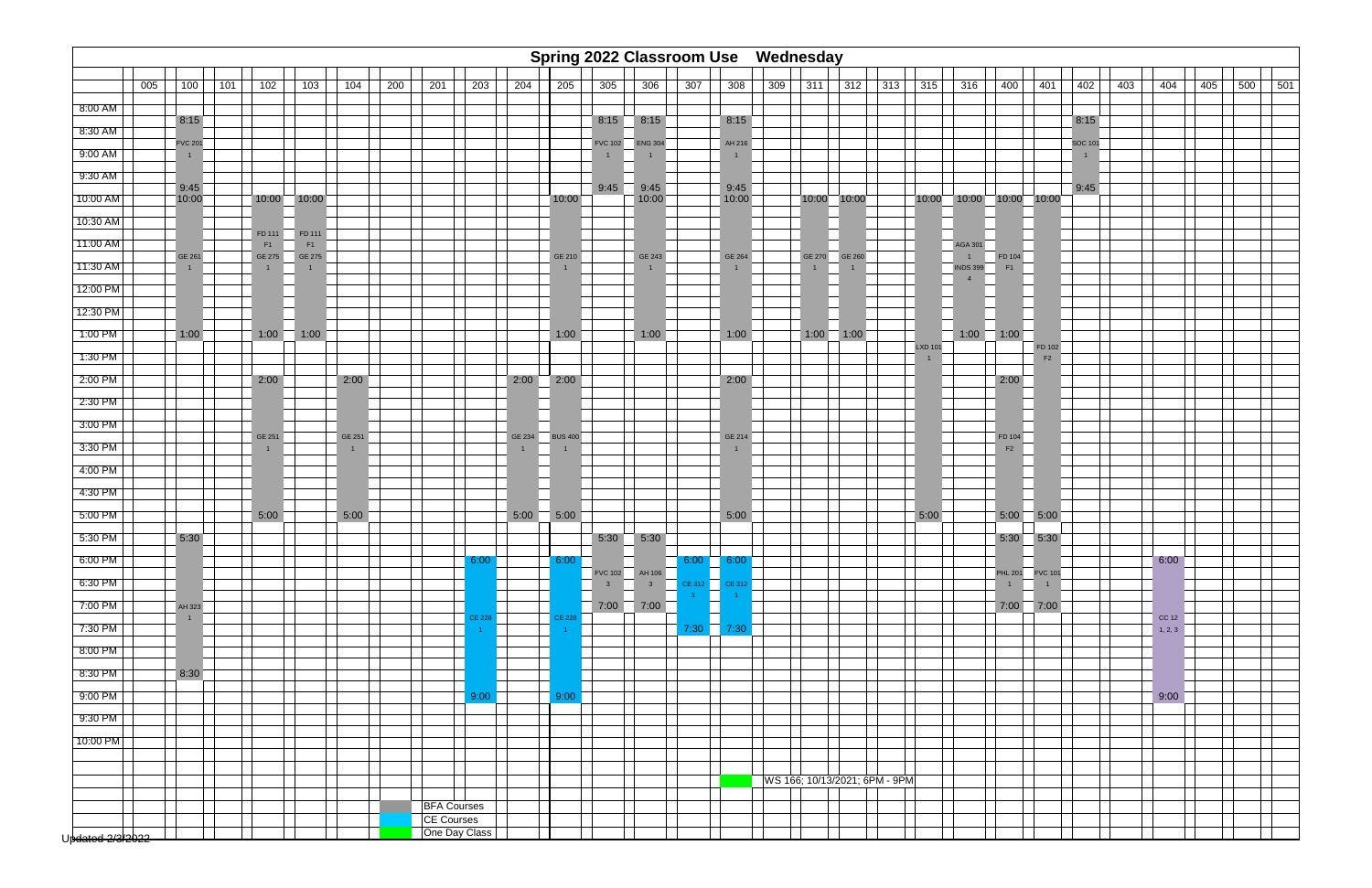

|                  |     |                                  |     |                        |                 |                          |     |     |                                  |                          | Spring 2022 Classroom Use Wednesday |                                |                |                |                          |     |              |               |                               |                     |                                   |                   |                   |                                  |     |         |
|------------------|-----|----------------------------------|-----|------------------------|-----------------|--------------------------|-----|-----|----------------------------------|--------------------------|-------------------------------------|--------------------------------|----------------|----------------|--------------------------|-----|--------------|---------------|-------------------------------|---------------------|-----------------------------------|-------------------|-------------------|----------------------------------|-----|---------|
|                  | 005 | 100                              | 101 | 102                    | 103             | 104                      | 200 | 201 | 203                              | 204                      | 205                                 | 305                            | 306            | 307            | 308                      | 309 | 311          | 312           | 313                           | 315                 | 316                               | 400               | 401               | 402                              | 403 | 404     |
| 8:00 AM          |     |                                  |     |                        |                 |                          |     |     |                                  |                          |                                     |                                |                |                |                          |     |              |               |                               |                     |                                   |                   |                   |                                  |     |         |
| 8:30 AM          |     | 8:15                             |     |                        |                 |                          |     |     |                                  |                          |                                     |                                | $8:15$ $8:15$  |                | 8:15                     |     |              |               |                               |                     |                                   |                   |                   | 8:15                             |     |         |
| 9:00 AM          |     | <b>FVC 201</b><br>$\overline{1}$ |     |                        |                 |                          |     |     |                                  |                          |                                     | <b>FVC 102</b><br>$\mathbf{1}$ | <b>ENG 304</b> |                | AH 216<br>$\overline{1}$ |     |              |               |                               |                     |                                   |                   |                   | <b>SOC 101</b><br>$\overline{1}$ |     |         |
| 9:30 AM          |     |                                  |     |                        |                 |                          |     |     |                                  |                          |                                     |                                |                |                |                          |     |              |               |                               |                     |                                   |                   |                   |                                  |     |         |
| 10:00 AM         |     | 9:45<br>10:00                    |     |                        | $10:00$ $10:00$ |                          |     |     |                                  |                          | 10:00                               | 9:45                           | 9:45<br>10:00  |                | 9:45<br>10:00            |     |              | 10:00 10:00   |                               | 10:00               |                                   | 10:00 10:00 10:00 |                   | 9:45                             |     |         |
| 10:30 AM         |     |                                  |     |                        |                 |                          |     |     |                                  |                          |                                     |                                |                |                |                          |     |              |               |                               |                     |                                   |                   |                   |                                  |     |         |
| 11:00 AM         |     |                                  |     | FD 111<br>F1           | FD 111<br>F1    |                          |     |     |                                  |                          |                                     |                                |                |                |                          |     |              |               |                               |                     | <b>AGA 301</b>                    |                   |                   |                                  |     |         |
| 11:30 AM         |     | GE 261                           |     | GE 275<br>$\mathbf{1}$ | GE 275          |                          |     |     |                                  |                          | GE 210                              |                                | GE 243         |                | GE 264                   |     | $\mathbf{1}$ | GE 270 GE 260 |                               |                     | $\overline{1}$<br><b>INDS 399</b> | FD 104<br>F1      |                   |                                  |     |         |
| 12:00 PM         |     |                                  |     |                        |                 |                          |     |     |                                  |                          |                                     |                                |                |                |                          |     |              |               |                               |                     |                                   |                   |                   |                                  |     |         |
| 12:30 PM         |     |                                  |     |                        |                 |                          |     |     |                                  |                          |                                     |                                |                |                |                          |     |              |               |                               |                     |                                   |                   |                   |                                  |     |         |
| 1:00 PM          |     | 1:00                             |     | 1:00                   | 1:00            |                          |     |     |                                  |                          | 1:00                                |                                | 1:00           |                | 1:00                     |     |              | $1:00$ 1:00   |                               |                     | 1:00                              | $\overline{1:00}$ |                   |                                  |     |         |
| $1:30$ PM        |     |                                  |     |                        |                 |                          |     |     |                                  |                          |                                     |                                |                |                |                          |     |              |               |                               | <b>LXD 101</b><br>1 |                                   |                   | FD 102<br>F2      |                                  |     |         |
| 2:00 PM          |     |                                  |     | 2:00                   |                 | 2:00                     |     |     |                                  | 2:00                     | 2:00                                |                                |                |                | 2:00                     |     |              |               |                               |                     |                                   | 2:00              |                   |                                  |     |         |
| 2:30 PM          |     |                                  |     |                        |                 |                          |     |     |                                  |                          |                                     |                                |                |                |                          |     |              |               |                               |                     |                                   |                   |                   |                                  |     |         |
| 3:00 PM          |     |                                  |     |                        |                 |                          |     |     |                                  |                          |                                     |                                |                |                |                          |     |              |               |                               |                     |                                   |                   |                   |                                  |     |         |
| 3:30 PM          |     |                                  |     | GE 251                 |                 | GE 251<br>$\overline{1}$ |     |     |                                  | GE 234<br>$\overline{1}$ | <b>BUS 400</b>                      |                                |                |                | GE 214<br>$\mathbf{1}$   |     |              |               |                               |                     |                                   | FD 104<br>F2      |                   |                                  |     |         |
| 4:00 PM          |     |                                  |     |                        |                 |                          |     |     |                                  |                          |                                     |                                |                |                |                          |     |              |               |                               |                     |                                   |                   |                   |                                  |     |         |
| 4:30 PM          |     |                                  |     |                        |                 |                          |     |     |                                  |                          |                                     |                                |                |                |                          |     |              |               |                               |                     |                                   |                   |                   |                                  |     |         |
| 5:00 PM          |     |                                  |     | 5:00                   |                 | 5:00                     |     |     |                                  | 5:00                     | 5:00                                |                                |                |                | 5:00                     |     |              |               |                               | 5:00                |                                   | 5:00              | 5:00              |                                  |     |         |
| 5:30 PM          |     | 5:30                             |     |                        |                 |                          |     |     |                                  |                          |                                     | 5:30                           | 5:30           |                |                          |     |              |               |                               |                     |                                   | 5:30              | 5:30              |                                  |     |         |
| 6:00 PM          |     |                                  |     |                        |                 |                          |     |     | 6:00                             |                          | 6:00                                |                                | FVC 102 AH 106 | 6:00           | 6:00                     |     |              |               |                               |                     |                                   |                   | PHL 201   FVC 101 |                                  |     | 6:00    |
| 6:30 PM          |     |                                  |     |                        |                 |                          |     |     |                                  |                          |                                     | 3 <sup>1</sup>                 | 3 <sup>1</sup> | CE 312         | <b>CE 312</b>            |     |              |               |                               |                     |                                   | $\overline{1}$    |                   |                                  |     |         |
| 7:00 PM          |     | AH 323<br>$\mathbf{1}$           |     |                        |                 |                          |     |     | <b>CE 228</b>                    |                          | <b>CE 228</b>                       | 7:00                           | $\sqrt{7:00}$  | $\overline{1}$ | n.                       |     |              |               |                               |                     |                                   |                   | $7:00$ $7:00$     |                                  |     | CC 12   |
| 7:30 PM          |     |                                  |     |                        |                 |                          |     |     |                                  |                          |                                     |                                |                | 7:30           | 7:30                     |     |              |               |                               |                     |                                   |                   |                   |                                  |     | 1, 2, 3 |
| 8:00 PM          |     |                                  |     |                        |                 |                          |     |     |                                  |                          |                                     |                                |                |                |                          |     |              |               |                               |                     |                                   |                   |                   |                                  |     |         |
| 8:30 PM          |     | 8:30                             |     |                        |                 |                          |     |     |                                  |                          |                                     |                                |                |                |                          |     |              |               |                               |                     |                                   |                   |                   |                                  |     |         |
| 9:00 PM          |     |                                  |     |                        |                 |                          |     |     | 9:00                             |                          | 9:00                                |                                |                |                |                          |     |              |               |                               |                     |                                   |                   |                   |                                  |     | 9:00    |
| 9:30 PM          |     |                                  |     |                        |                 |                          |     |     |                                  |                          |                                     |                                |                |                |                          |     |              |               |                               |                     |                                   |                   |                   |                                  |     |         |
| 10:00 PM         |     |                                  |     |                        |                 |                          |     |     |                                  |                          |                                     |                                |                |                |                          |     |              |               |                               |                     |                                   |                   |                   |                                  |     |         |
|                  |     |                                  |     |                        |                 |                          |     |     |                                  |                          |                                     |                                |                |                |                          |     |              |               |                               |                     |                                   |                   |                   |                                  |     |         |
|                  |     |                                  |     |                        |                 |                          |     |     |                                  |                          |                                     |                                |                |                |                          |     |              |               | WS 166; 10/13/2021; 6PM - 9PM |                     |                                   |                   |                   |                                  |     |         |
|                  |     |                                  |     |                        |                 |                          |     |     | <b>BFA Courses</b><br>CE Courses |                          |                                     |                                |                |                |                          |     |              |               |                               |                     |                                   |                   |                   |                                  |     |         |
| Updated 2/3/2022 |     |                                  |     |                        |                 |                          |     |     | One Day Class                    |                          |                                     |                                |                |                |                          |     |              |               |                               |                     |                                   |                   |                   |                                  |     |         |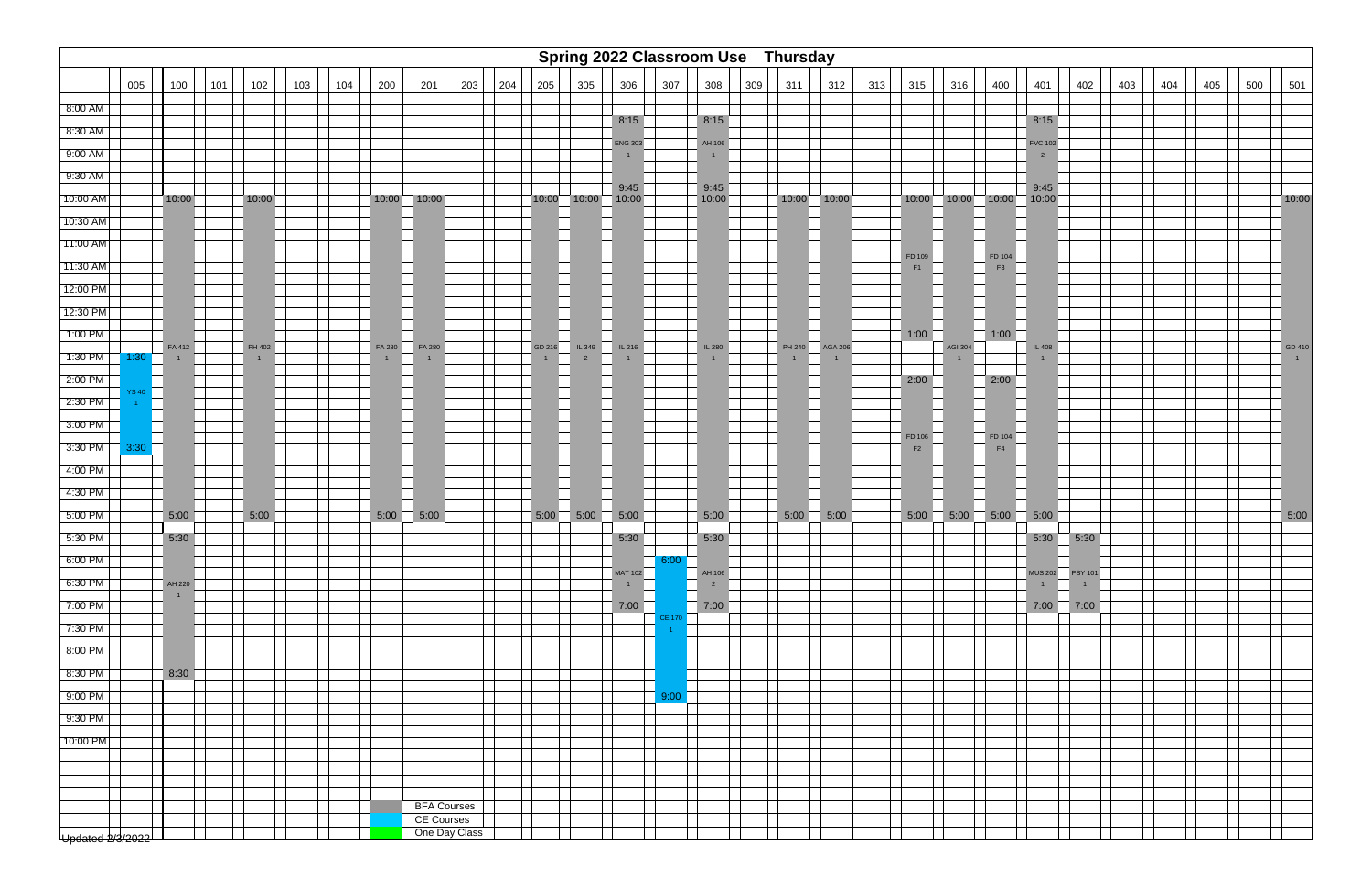

| Spring 2022 Classroom Use Thursday<br>005<br>200<br>201<br>203<br>$\sqrt{204}$<br>205<br>305<br>307<br>308<br>309<br>315<br>400<br>401<br>402<br>403<br>404<br>100<br>101<br>102<br>103<br>104<br>306<br>311<br>312<br>313<br>316<br>405<br>500 |       |                          |  |        |  |  |        |                    |  |  |                          |                          |                |               |                          |        |                 |              |         |                          |                                         |               |  |  |             |
|-------------------------------------------------------------------------------------------------------------------------------------------------------------------------------------------------------------------------------------------------|-------|--------------------------|--|--------|--|--|--------|--------------------|--|--|--------------------------|--------------------------|----------------|---------------|--------------------------|--------|-----------------|--------------|---------|--------------------------|-----------------------------------------|---------------|--|--|-------------|
|                                                                                                                                                                                                                                                 |       |                          |  |        |  |  |        |                    |  |  |                          |                          |                |               |                          |        |                 |              |         |                          |                                         |               |  |  | 501         |
| 8:00 AM                                                                                                                                                                                                                                         |       |                          |  |        |  |  |        |                    |  |  |                          |                          |                |               |                          |        |                 |              |         |                          |                                         |               |  |  |             |
| 8:30 AM                                                                                                                                                                                                                                         |       |                          |  |        |  |  |        |                    |  |  |                          |                          | 8:15           |               | 8:15                     |        |                 |              |         |                          | 8:15                                    |               |  |  |             |
| 9:00 AM                                                                                                                                                                                                                                         |       |                          |  |        |  |  |        |                    |  |  |                          |                          | <b>ENG 303</b> |               | AH 106<br>$\mathbf{1}$   |        |                 |              |         |                          | <b>FVC 102</b><br>$\overline{2}$        |               |  |  |             |
| 9:30 AM                                                                                                                                                                                                                                         |       |                          |  |        |  |  |        |                    |  |  |                          |                          |                |               |                          |        |                 |              |         |                          |                                         |               |  |  |             |
| $10:00$ AM                                                                                                                                                                                                                                      |       | 10:00                    |  | 10:00  |  |  |        | $10:00$ $10:00$    |  |  |                          | 10:00 10:00 10:00        | 9:45           |               | 9:45<br>10:00            |        | $10:00$ $10:00$ |              |         |                          | 9:45<br>$10:00$ $10:00$ $10:00$ $10:00$ |               |  |  | 10:00       |
| 10:30 AM                                                                                                                                                                                                                                        |       |                          |  |        |  |  |        |                    |  |  |                          |                          |                |               |                          |        |                 |              |         |                          |                                         |               |  |  |             |
| 11:00 AM                                                                                                                                                                                                                                        |       |                          |  |        |  |  |        |                    |  |  |                          |                          |                |               |                          |        |                 |              |         |                          |                                         |               |  |  |             |
| 11:30 AM                                                                                                                                                                                                                                        |       |                          |  |        |  |  |        |                    |  |  |                          |                          |                |               |                          |        |                 | FD 109<br>F1 |         | FD 104<br>F <sub>3</sub> |                                         |               |  |  |             |
| 12:00 PM                                                                                                                                                                                                                                        |       |                          |  |        |  |  |        |                    |  |  |                          |                          |                |               |                          |        |                 |              |         |                          |                                         |               |  |  |             |
| 12:30 PM                                                                                                                                                                                                                                        |       |                          |  |        |  |  |        |                    |  |  |                          |                          |                |               |                          |        |                 |              |         |                          |                                         |               |  |  |             |
| 1:00 PM                                                                                                                                                                                                                                         |       |                          |  |        |  |  |        |                    |  |  |                          |                          |                |               |                          |        |                 | 1:00         |         | 1:00                     |                                         |               |  |  |             |
| $1:30$ PM                                                                                                                                                                                                                                       | 1:30  | FA 412<br>$\overline{1}$ |  | PH 402 |  |  | FA 280 | FA 280             |  |  | GD 216<br>$\overline{1}$ | IL 349<br>$\overline{2}$ | IL216          |               | IL 280<br>$\overline{1}$ | PH 240 | <b>AGA 206</b>  |              | AGI 304 |                          | IL 408                                  |               |  |  | GD 410<br>1 |
| 2:00 PM                                                                                                                                                                                                                                         |       |                          |  |        |  |  |        |                    |  |  |                          |                          |                |               |                          |        |                 | 2:00         |         | 2:00                     |                                         |               |  |  |             |
| 2:30 PM                                                                                                                                                                                                                                         | YS 40 |                          |  |        |  |  |        |                    |  |  |                          |                          |                |               |                          |        |                 |              |         |                          |                                         |               |  |  |             |
| 3:00 PM                                                                                                                                                                                                                                         |       |                          |  |        |  |  |        |                    |  |  |                          |                          |                |               |                          |        |                 |              |         |                          |                                         |               |  |  |             |
| $3:30$ PM                                                                                                                                                                                                                                       | 3:30  |                          |  |        |  |  |        |                    |  |  |                          |                          |                |               |                          |        |                 | FD 106<br>F2 |         | FD 104<br>F4             |                                         |               |  |  |             |
| 4:00 PM                                                                                                                                                                                                                                         |       |                          |  |        |  |  |        |                    |  |  |                          |                          |                |               |                          |        |                 |              |         |                          |                                         |               |  |  |             |
| 4:30 PM                                                                                                                                                                                                                                         |       |                          |  |        |  |  |        |                    |  |  |                          |                          |                |               |                          |        |                 |              |         |                          |                                         |               |  |  |             |
| 5:00 PM                                                                                                                                                                                                                                         |       | 5:00                     |  | 5:00   |  |  | 5:00   | 5:00               |  |  | 5:00                     | $\overline{5:00}$        | 5:00           |               | 5:00                     | 5:00   | 5:00            |              |         | $5:00$ 5:00 5:00         | $\overline{5:00}$                       |               |  |  | 5:00        |
| 5:30 PM                                                                                                                                                                                                                                         |       | 5:30                     |  |        |  |  |        |                    |  |  |                          |                          | 5:30           |               | 5:30                     |        |                 |              |         |                          |                                         | $5:30$ $5:30$ |  |  |             |
| 6:00 PM                                                                                                                                                                                                                                         |       |                          |  |        |  |  |        |                    |  |  |                          |                          |                | 6:00          |                          |        |                 |              |         |                          |                                         |               |  |  |             |
| 6:30 PM                                                                                                                                                                                                                                         |       | AH 220                   |  |        |  |  |        |                    |  |  |                          |                          | <b>MAT 102</b> |               | AH 106<br>$\overline{2}$ |        |                 |              |         |                          | $\overline{1}$                          |               |  |  |             |
| 7:00 PM                                                                                                                                                                                                                                         |       | $\mathbf{1}$             |  |        |  |  |        |                    |  |  |                          |                          | 7:00           |               | 7:00                     |        |                 |              |         |                          |                                         | $7:00$ $7:00$ |  |  |             |
| 7:30 PM                                                                                                                                                                                                                                         |       |                          |  |        |  |  |        |                    |  |  |                          |                          |                | <b>CE 170</b> |                          |        |                 |              |         |                          |                                         |               |  |  |             |
| 8:00 PM                                                                                                                                                                                                                                         |       |                          |  |        |  |  |        |                    |  |  |                          |                          |                |               |                          |        |                 |              |         |                          |                                         |               |  |  |             |
| 8:30 PM                                                                                                                                                                                                                                         |       | 8:30                     |  |        |  |  |        |                    |  |  |                          |                          |                |               |                          |        |                 |              |         |                          |                                         |               |  |  |             |
| $9:00$ PM                                                                                                                                                                                                                                       |       |                          |  |        |  |  |        |                    |  |  |                          |                          |                | 9:00          |                          |        |                 |              |         |                          |                                         |               |  |  |             |
| 9:30 PM                                                                                                                                                                                                                                         |       |                          |  |        |  |  |        |                    |  |  |                          |                          |                |               |                          |        |                 |              |         |                          |                                         |               |  |  |             |
| 10:00 PM                                                                                                                                                                                                                                        |       |                          |  |        |  |  |        |                    |  |  |                          |                          |                |               |                          |        |                 |              |         |                          |                                         |               |  |  |             |
|                                                                                                                                                                                                                                                 |       |                          |  |        |  |  |        |                    |  |  |                          |                          |                |               |                          |        |                 |              |         |                          |                                         |               |  |  |             |
|                                                                                                                                                                                                                                                 |       |                          |  |        |  |  |        |                    |  |  |                          |                          |                |               |                          |        |                 |              |         |                          |                                         |               |  |  |             |
|                                                                                                                                                                                                                                                 |       |                          |  |        |  |  |        | <b>BFA Courses</b> |  |  |                          |                          |                |               |                          |        |                 |              |         |                          |                                         |               |  |  |             |
|                                                                                                                                                                                                                                                 |       |                          |  |        |  |  |        | <b>CE Courses</b>  |  |  |                          |                          |                |               |                          |        |                 |              |         |                          |                                         |               |  |  |             |
| Updated 2/3/2022                                                                                                                                                                                                                                |       |                          |  |        |  |  |        | One Day Class      |  |  |                          |                          |                |               |                          |        |                 |              |         |                          |                                         |               |  |  |             |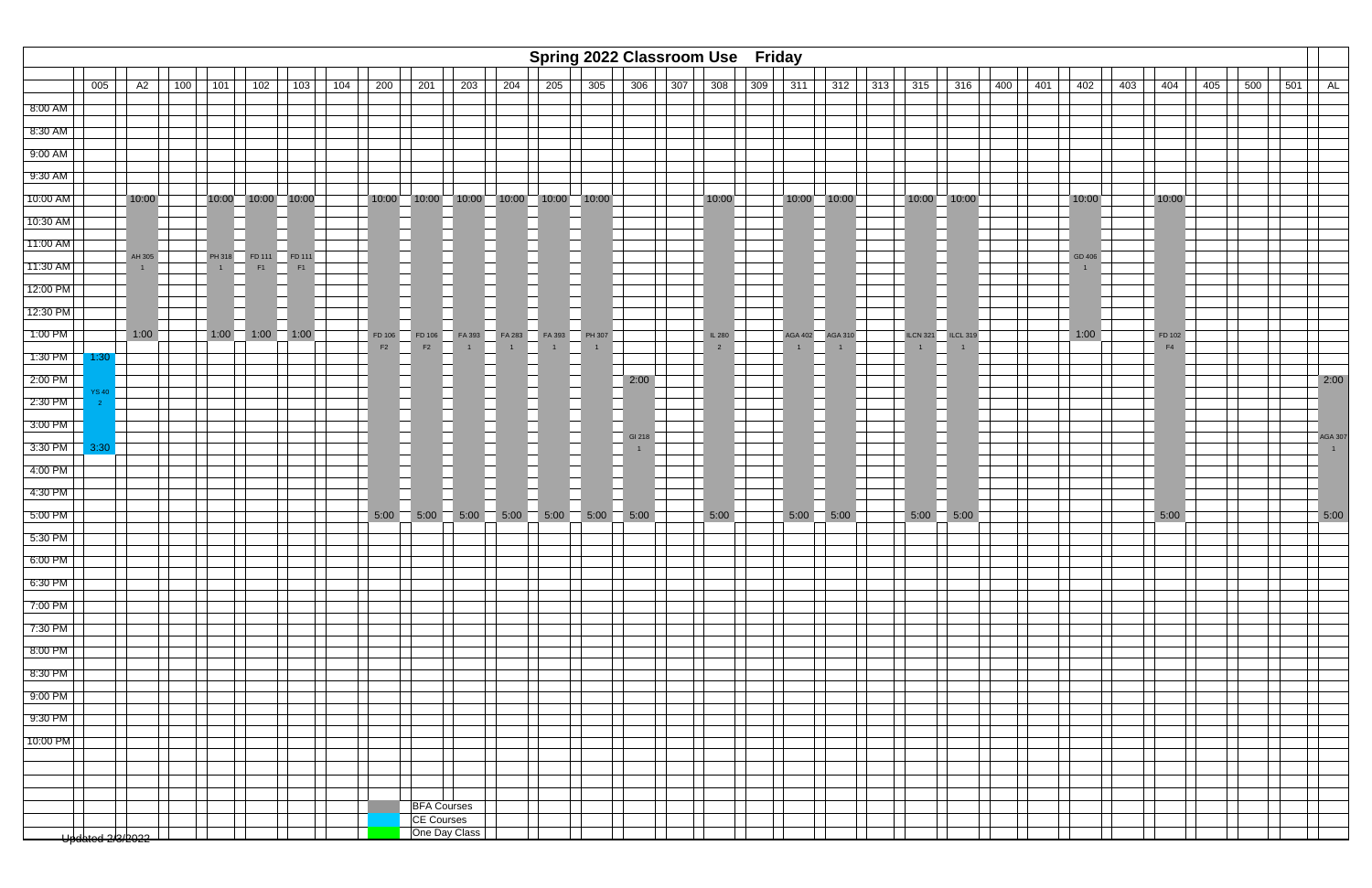

|           | Spring 2022 Classroom Use Friday<br>005<br>100<br>203<br>306<br>$308$<br>315<br>400<br>402<br>403<br>404<br>AL<br>A2<br>101<br>102<br>103<br>104<br>200<br>201<br>204<br>205<br>305<br>307<br>309<br>311<br>312<br>313<br>316<br>401<br>405<br>500<br>501 |                        |  |                |                              |    |  |        |                                  |                                                         |               |               |  |                   |                |                |                |                 |                 |  |        |                |  |                |
|-----------|-----------------------------------------------------------------------------------------------------------------------------------------------------------------------------------------------------------------------------------------------------------|------------------------|--|----------------|------------------------------|----|--|--------|----------------------------------|---------------------------------------------------------|---------------|---------------|--|-------------------|----------------|----------------|----------------|-----------------|-----------------|--|--------|----------------|--|----------------|
|           |                                                                                                                                                                                                                                                           |                        |  |                |                              |    |  |        |                                  |                                                         |               |               |  |                   |                |                |                |                 |                 |  |        |                |  |                |
| 8:00 AM   |                                                                                                                                                                                                                                                           |                        |  |                |                              |    |  |        |                                  |                                                         |               |               |  |                   |                |                |                |                 |                 |  |        |                |  |                |
| 8:30 AM   |                                                                                                                                                                                                                                                           |                        |  |                |                              |    |  |        |                                  |                                                         |               |               |  |                   |                |                |                |                 |                 |  |        |                |  |                |
| 9:00 AM   |                                                                                                                                                                                                                                                           |                        |  |                |                              |    |  |        |                                  |                                                         |               |               |  |                   |                |                |                |                 |                 |  |        |                |  |                |
| 9:30 AM   |                                                                                                                                                                                                                                                           |                        |  |                |                              |    |  |        |                                  |                                                         |               |               |  |                   |                |                |                |                 |                 |  |        |                |  |                |
| 10:00 AM  |                                                                                                                                                                                                                                                           | 10:00                  |  |                | 10:00 10:00 10:00            |    |  |        |                                  | $10:00$ $10:00$ $10:00$ $10:00$ $10:00$ $10:00$ $10:00$ |               |               |  |                   | 10:00          |                | 10:00 10:00    | $10:00$ 10:00   |                 |  | 10:00  | 10:00          |  |                |
| 10:30 AM  |                                                                                                                                                                                                                                                           |                        |  |                |                              |    |  |        |                                  |                                                         |               |               |  |                   |                |                |                |                 |                 |  |        |                |  |                |
| 11:00 AM  |                                                                                                                                                                                                                                                           |                        |  |                |                              |    |  |        |                                  |                                                         |               |               |  |                   |                |                |                |                 |                 |  |        |                |  |                |
| 11:30 AM  |                                                                                                                                                                                                                                                           | AH 305<br>$\mathbf{1}$ |  | $\overline{1}$ | PH 318  FD 111  FD 111<br>F1 | F1 |  |        |                                  |                                                         |               |               |  |                   |                |                |                |                 |                 |  | GD 406 |                |  |                |
| 12:00 PM  |                                                                                                                                                                                                                                                           |                        |  |                |                              |    |  |        |                                  |                                                         |               |               |  |                   |                |                |                |                 |                 |  |        |                |  |                |
| 12:30 PM  |                                                                                                                                                                                                                                                           |                        |  |                |                              |    |  |        |                                  |                                                         |               |               |  |                   |                |                |                |                 |                 |  |        |                |  |                |
| 1:00 PM   |                                                                                                                                                                                                                                                           | 1:00                   |  |                | $1:00$ 1:00 1:00             |    |  | FD 106 | FD 106                           |                                                         | FA 393 FA 283 | FA 393 PH 307 |  |                   | IL 280         | <b>AGA 402</b> | <b>AGA 310</b> | <b>ILCN 321</b> | <b>ILCL 319</b> |  | 1:00   | FD 102         |  |                |
| $1:30$ PM | 1:30                                                                                                                                                                                                                                                      |                        |  |                |                              |    |  | F2     | F2                               | $\mathbf{1}$                                            |               | $\mathbf{1}$  |  |                   | $\overline{2}$ |                |                | $\mathbf{1}$    |                 |  |        | F <sub>4</sub> |  |                |
| $2:00$ PM |                                                                                                                                                                                                                                                           |                        |  |                |                              |    |  |        |                                  |                                                         |               |               |  | $\overline{2:00}$ |                |                |                |                 |                 |  |        |                |  | 2:00           |
| $2:30$ PM |                                                                                                                                                                                                                                                           |                        |  |                |                              |    |  |        |                                  |                                                         |               |               |  |                   |                |                |                |                 |                 |  |        |                |  |                |
| $3:00$ PM |                                                                                                                                                                                                                                                           |                        |  |                |                              |    |  |        |                                  |                                                         |               |               |  | GI 218            |                |                |                |                 |                 |  |        |                |  | <b>AGA 307</b> |
| $3:30$ PM | 3:30                                                                                                                                                                                                                                                      |                        |  |                |                              |    |  |        |                                  |                                                         |               |               |  | $\overline{1}$    |                |                |                |                 |                 |  |        |                |  | 1              |
| 4:00 PM   |                                                                                                                                                                                                                                                           |                        |  |                |                              |    |  |        |                                  |                                                         |               |               |  |                   |                |                |                |                 |                 |  |        |                |  |                |
| 4:30 PM   |                                                                                                                                                                                                                                                           |                        |  |                |                              |    |  |        |                                  |                                                         |               |               |  |                   |                |                |                |                 |                 |  |        |                |  |                |
| 5:00 PM   |                                                                                                                                                                                                                                                           |                        |  |                |                              |    |  | 5:00   | $\overline{5:00}$                | 5:00                                                    | 5:00          | 5:00          |  | $5:00$ 5:00       | 5:00           | 5:00           | $-5:00$        | 5:00            | 5:00            |  |        | 5:00           |  | 5:00           |
| 5:30 PM   |                                                                                                                                                                                                                                                           |                        |  |                |                              |    |  |        |                                  |                                                         |               |               |  |                   |                |                |                |                 |                 |  |        |                |  |                |
| $6:00$ PM |                                                                                                                                                                                                                                                           |                        |  |                |                              |    |  |        |                                  |                                                         |               |               |  |                   |                |                |                |                 |                 |  |        |                |  |                |
| $6:30$ PM |                                                                                                                                                                                                                                                           |                        |  |                |                              |    |  |        |                                  |                                                         |               |               |  |                   |                |                |                |                 |                 |  |        |                |  |                |
| 7:00 PM   |                                                                                                                                                                                                                                                           |                        |  |                |                              |    |  |        |                                  |                                                         |               |               |  |                   |                |                |                |                 |                 |  |        |                |  |                |
| 7:30 PM   |                                                                                                                                                                                                                                                           |                        |  |                |                              |    |  |        |                                  |                                                         |               |               |  |                   |                |                |                |                 |                 |  |        |                |  |                |
| 8:00 PM   |                                                                                                                                                                                                                                                           |                        |  |                |                              |    |  |        |                                  |                                                         |               |               |  |                   |                |                |                |                 |                 |  |        |                |  |                |
| $8:30$ PM |                                                                                                                                                                                                                                                           |                        |  |                |                              |    |  |        |                                  |                                                         |               |               |  |                   |                |                |                |                 |                 |  |        |                |  |                |
| 9:00 PM   |                                                                                                                                                                                                                                                           |                        |  |                |                              |    |  |        |                                  |                                                         |               |               |  |                   |                |                |                |                 |                 |  |        |                |  |                |
| $9:30$ PM |                                                                                                                                                                                                                                                           |                        |  |                |                              |    |  |        |                                  |                                                         |               |               |  |                   |                |                |                |                 |                 |  |        |                |  |                |
| 10:00 PM  |                                                                                                                                                                                                                                                           |                        |  |                |                              |    |  |        |                                  |                                                         |               |               |  |                   |                |                |                |                 |                 |  |        |                |  |                |
|           |                                                                                                                                                                                                                                                           |                        |  |                |                              |    |  |        |                                  |                                                         |               |               |  |                   |                |                |                |                 |                 |  |        |                |  |                |
|           |                                                                                                                                                                                                                                                           |                        |  |                |                              |    |  |        |                                  |                                                         |               |               |  |                   |                |                |                |                 |                 |  |        |                |  |                |
|           |                                                                                                                                                                                                                                                           |                        |  |                |                              |    |  |        | <b>BFA Courses</b><br>CE Courses |                                                         |               |               |  |                   |                |                |                |                 |                 |  |        |                |  |                |
|           | Updated 2/3/2022                                                                                                                                                                                                                                          |                        |  |                |                              |    |  |        |                                  | One Day Class                                           |               |               |  |                   |                |                |                |                 |                 |  |        |                |  |                |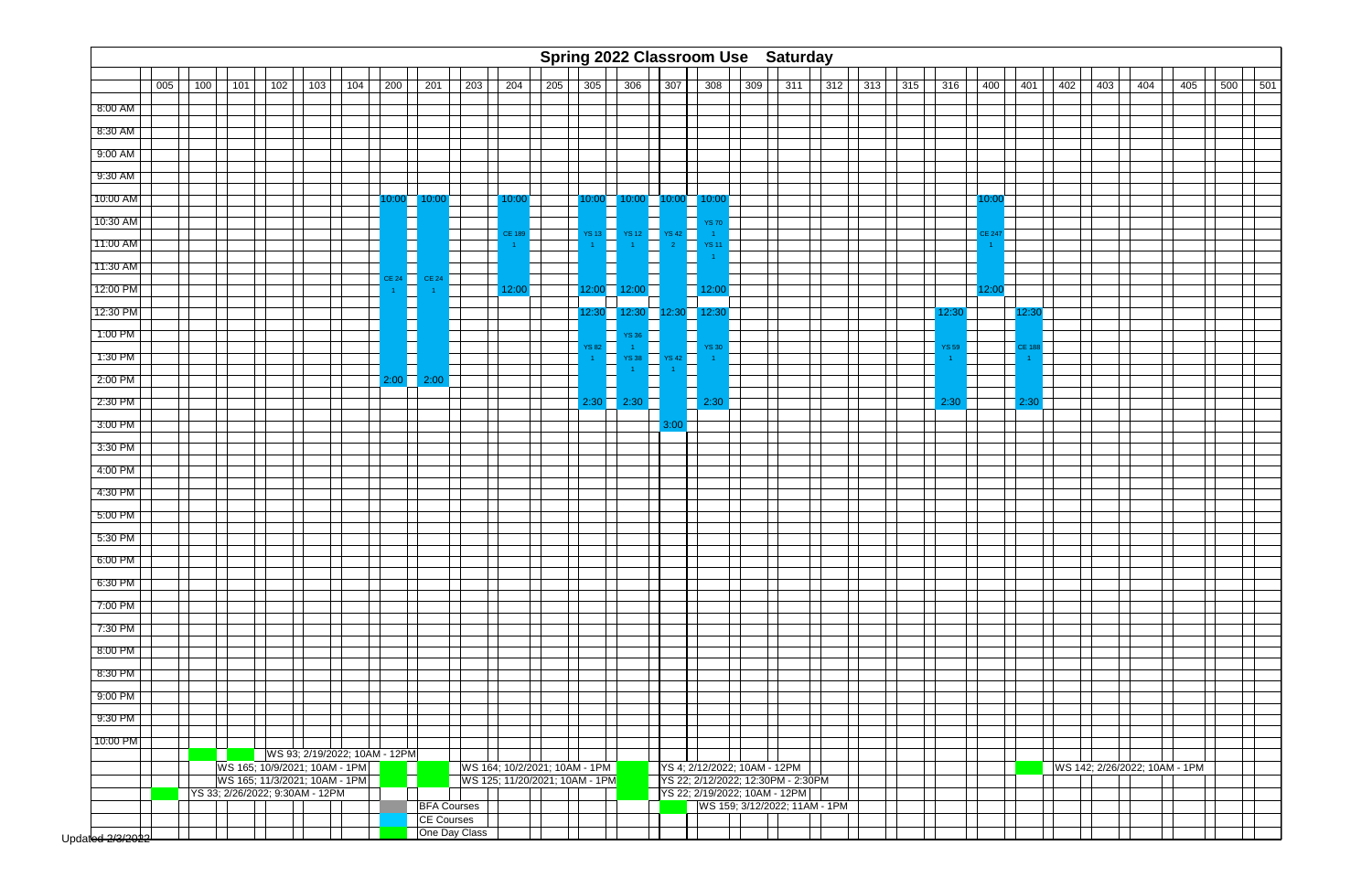|             |     |     |                                                                                                                                                                    |     |     |     |               |                    |     |              |     |               |                        |       | Spring 2022 Classroom Use Saturday                                  |                               |     |     |     |     |              |        |       |     |     |     |                               |     |     |
|-------------|-----|-----|--------------------------------------------------------------------------------------------------------------------------------------------------------------------|-----|-----|-----|---------------|--------------------|-----|--------------|-----|---------------|------------------------|-------|---------------------------------------------------------------------|-------------------------------|-----|-----|-----|-----|--------------|--------|-------|-----|-----|-----|-------------------------------|-----|-----|
|             | 005 | 100 | 101                                                                                                                                                                | 102 | 103 | 104 | 200           | 201                | 203 | 204          | 205 | 305           | 306                    | 307   | 308                                                                 | 309                           | 311 | 312 | 313 | 315 | 316          | 400    | 401   | 402 | 403 | 404 | 405                           | 500 | 501 |
|             |     |     |                                                                                                                                                                    |     |     |     |               |                    |     |              |     |               |                        |       |                                                                     |                               |     |     |     |     |              |        |       |     |     |     |                               |     |     |
| $8:00$ AM   |     |     |                                                                                                                                                                    |     |     |     |               |                    |     |              |     |               |                        |       |                                                                     |                               |     |     |     |     |              |        |       |     |     |     |                               |     |     |
| 8:30 AM     |     |     |                                                                                                                                                                    |     |     |     |               |                    |     |              |     |               |                        |       |                                                                     |                               |     |     |     |     |              |        |       |     |     |     |                               |     |     |
| 9:00 AM     |     |     |                                                                                                                                                                    |     |     |     |               |                    |     |              |     |               |                        |       |                                                                     |                               |     |     |     |     |              |        |       |     |     |     |                               |     |     |
| 9:30 AM     |     |     |                                                                                                                                                                    |     |     |     |               |                    |     |              |     |               |                        |       |                                                                     |                               |     |     |     |     |              |        |       |     |     |     |                               |     |     |
| 10:00 AM    |     |     |                                                                                                                                                                    |     |     |     | 10:00         | 10:00              |     | 10:00        |     | 10:00         | 10:00                  | 10:00 | 10:00                                                               |                               |     |     |     |     |              | 10:00  |       |     |     |     |                               |     |     |
| 10:30 AM    |     |     |                                                                                                                                                                    |     |     |     |               |                    |     | <b>CE 18</b> |     | <b>YS 13</b>  | <b>YS 12</b>           | YS 42 | YS 70                                                               |                               |     |     |     |     |              | CE 247 |       |     |     |     |                               |     |     |
| 11:00 AM    |     |     |                                                                                                                                                                    |     |     |     |               |                    |     |              |     |               |                        |       | <b>YS1'</b>                                                         |                               |     |     |     |     |              |        |       |     |     |     |                               |     |     |
| 11:30 AM    |     |     |                                                                                                                                                                    |     |     |     | CE 24         | <b>CE 24</b>       |     |              |     |               | L                      |       |                                                                     |                               |     |     |     |     |              |        |       |     |     |     |                               |     |     |
| 12:00 PM    |     |     |                                                                                                                                                                    |     |     |     |               | Ш                  |     | 12:00        |     |               | $12:00$ $12:00$ $\Box$ |       | $12:00$ $\overline{\phantom{1}}$                                    |                               |     |     |     |     |              | 12:00  |       |     |     |     |                               |     |     |
| 12:30 PM    |     |     |                                                                                                                                                                    |     |     |     |               |                    |     |              |     | 12:30         | 12:30                  | 12:30 | 12:30                                                               |                               |     |     |     |     | 12:30        |        | 12:30 |     |     |     |                               |     |     |
| 1:00 PM     |     |     |                                                                                                                                                                    |     |     |     |               |                    |     |              |     | <b>YS 82</b>  | YS 36                  |       |                                                                     |                               |     |     |     |     |              |        | CE 18 |     |     |     |                               |     |     |
| 1:30 PM     |     |     |                                                                                                                                                                    |     |     |     |               | L                  |     |              |     |               | T.<br><b>YS 38</b>     | YS 42 | n.<br><b>YS 30</b><br>a ka                                          |                               |     |     |     |     | <b>YS 59</b> |        |       |     |     |     |                               |     |     |
| 2:00 PM     |     |     |                                                                                                                                                                    |     |     |     | $2:00$ $\Box$ | 2:00               |     |              |     |               |                        |       |                                                                     |                               |     |     |     |     |              |        |       |     |     |     |                               |     |     |
| 2:30 PM     |     |     |                                                                                                                                                                    |     |     |     |               |                    |     |              |     | $2:30$ $\Box$ | 2:30                   |       | 2:30                                                                |                               |     |     |     |     | 2:30         |        | 2:30  |     |     |     |                               |     |     |
| 3:00 PM     |     |     |                                                                                                                                                                    |     |     |     |               |                    |     |              |     |               |                        | 3:00  |                                                                     |                               |     |     |     |     |              |        |       |     |     |     |                               |     |     |
| 3:30 PM     |     |     |                                                                                                                                                                    |     |     |     |               |                    |     |              |     |               |                        |       |                                                                     |                               |     |     |     |     |              |        |       |     |     |     |                               |     |     |
| $-4:00$ PM  |     |     |                                                                                                                                                                    |     |     |     |               |                    |     |              |     |               |                        |       |                                                                     |                               |     |     |     |     |              |        |       |     |     |     |                               |     |     |
| 4:30 PM     |     |     |                                                                                                                                                                    |     |     |     |               |                    |     |              |     |               |                        |       |                                                                     |                               |     |     |     |     |              |        |       |     |     |     |                               |     |     |
| 5:00 PM     |     |     |                                                                                                                                                                    |     |     |     |               |                    |     |              |     |               |                        |       |                                                                     |                               |     |     |     |     |              |        |       |     |     |     |                               |     |     |
| 5:30 PM     |     |     |                                                                                                                                                                    |     |     |     |               |                    |     |              |     |               |                        |       |                                                                     |                               |     |     |     |     |              |        |       |     |     |     |                               |     |     |
| $6:00$ PM   |     |     |                                                                                                                                                                    |     |     |     |               |                    |     |              |     |               |                        |       |                                                                     |                               |     |     |     |     |              |        |       |     |     |     |                               |     |     |
| 6:30 PM     |     |     |                                                                                                                                                                    |     |     |     |               |                    |     |              |     |               |                        |       |                                                                     |                               |     |     |     |     |              |        |       |     |     |     |                               |     |     |
| 7:00 PM     |     |     |                                                                                                                                                                    |     |     |     |               |                    |     |              |     |               |                        |       |                                                                     |                               |     |     |     |     |              |        |       |     |     |     |                               |     |     |
| 7:30 PM     |     |     |                                                                                                                                                                    |     |     |     |               |                    |     |              |     |               |                        |       |                                                                     |                               |     |     |     |     |              |        |       |     |     |     |                               |     |     |
| 8:00 PM     |     |     |                                                                                                                                                                    |     |     |     |               |                    |     |              |     |               |                        |       |                                                                     |                               |     |     |     |     |              |        |       |     |     |     |                               |     |     |
| 8:30 PM     |     |     |                                                                                                                                                                    |     |     |     |               |                    |     |              |     |               |                        |       |                                                                     |                               |     |     |     |     |              |        |       |     |     |     |                               |     |     |
| 9:00 PM     |     |     |                                                                                                                                                                    |     |     |     |               |                    |     |              |     |               |                        |       |                                                                     |                               |     |     |     |     |              |        |       |     |     |     |                               |     |     |
| 9:30 PM     |     |     |                                                                                                                                                                    |     |     |     |               |                    |     |              |     |               |                        |       |                                                                     |                               |     |     |     |     |              |        |       |     |     |     |                               |     |     |
| 10:00 PM    |     |     |                                                                                                                                                                    |     |     |     |               |                    |     |              |     |               |                        |       |                                                                     |                               |     |     |     |     |              |        |       |     |     |     |                               |     |     |
|             |     |     |                                                                                                                                                                    |     |     |     |               |                    |     |              |     |               |                        |       |                                                                     |                               |     |     |     |     |              |        |       |     |     |     |                               |     |     |
|             |     |     | WS 93; 2/19/2022; 10AM - 12PM<br>WS 165; 10/9/2021; 10AM - 1PM<br>WS 164; 10/2/2021; 10AM - 1PM<br>WS 125; 11/20/2021; 10AM - 1PM<br>WS 165; 11/3/2021; 10AM - 1PM |     |     |     |               |                    |     |              |     |               |                        |       |                                                                     | YS 4; 2/12/2022; 10AM - 12PM  |     |     |     |     |              |        |       |     |     |     | WS 142; 2/26/2022; 10AM - 1PM |     |     |
|             |     |     | YS 33; 2/26/2022; 9:30AM - 12PM                                                                                                                                    |     |     |     |               |                    |     |              |     |               |                        |       | YS 22; 2/12/2022; 12:30PM - 2:30PM<br>YS 22; 2/19/2022; 10AM - 12PM |                               |     |     |     |     |              |        |       |     |     |     |                               |     |     |
|             |     |     |                                                                                                                                                                    |     |     |     |               | <b>BFA Courses</b> |     |              |     |               |                        |       |                                                                     | WS 159; 3/12/2022; 11AM - 1PM |     |     |     |     |              |        |       |     |     |     |                               |     |     |
|             |     |     |                                                                                                                                                                    |     |     |     |               | CE Courses         |     |              |     |               |                        |       |                                                                     |                               |     |     |     |     |              |        |       |     |     |     |                               |     |     |
| احعمصصر وطر |     |     |                                                                                                                                                                    |     |     |     |               | One Day Class      |     |              |     |               |                        |       |                                                                     |                               |     |     |     |     |              |        |       |     |     |     |                               |     |     |